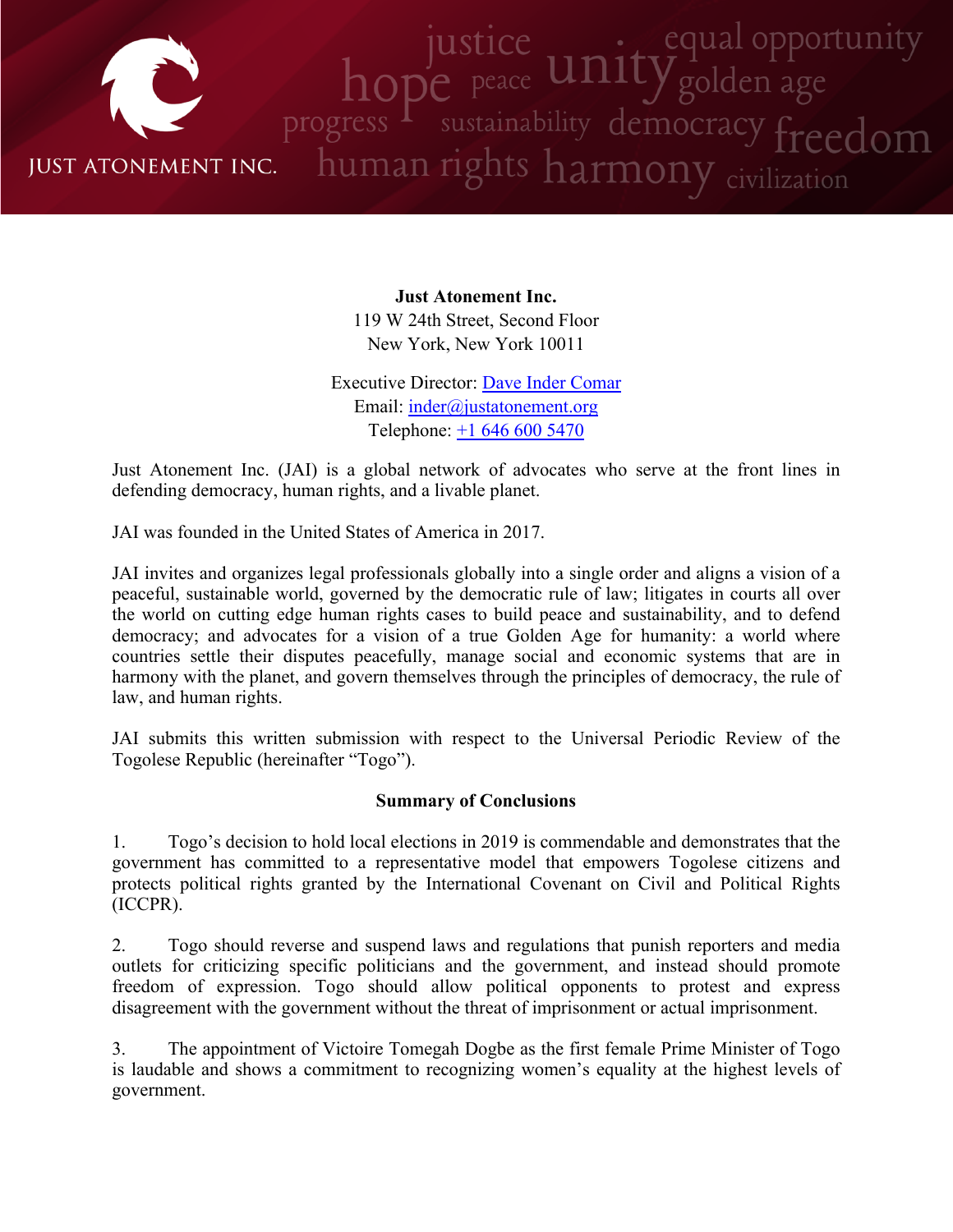

**Just Atonement Inc.** 119 W 24th Street, Second Floor New York, New York 10011

Executive Director: Dave Inder [Comar](http://www.justatonement.org/dave-inder-comar) Email: [inder@justatonement.org](mailto:inder@justatonement.org) Telephone: +1 646 600 [5470](tel:+16466005470)

Just Atonement Inc. (JAI) is <sup>a</sup> global network of advocates who serve at the front lines in defending democracy, human rights, and <sup>a</sup> livable planet.

JAI was founded in the United States of America in 2017.

JAI invites and organizes legal professionals globally into <sup>a</sup> single order and aligns <sup>a</sup> vision of <sup>a</sup> peaceful, sustainable world, governed by the democratic rule of law; litigates in courts all over the world on cutting edge human rights cases to build peace and sustainability, and to defend democracy; and advocates for <sup>a</sup> vision of <sup>a</sup> true Golden Age for humanity: <sup>a</sup> world where countries settle their disputes peacefully, manage social and economic systems that are in harmony with the planet, and govern themselves through the principles of democracy, the rule of law, and human rights.

JAI submits this written submission with respec<sup>t</sup> to the Universal Periodic Review of the Togolese Republic (hereinafter "Togo").

#### **Summary of Conclusions**

1. Togo'<sup>s</sup> decision to hold local elections in 2019 is commendable and demonstrates that the governmen<sup>t</sup> has committed to <sup>a</sup> representative model that empowers Togolese citizens and protects political rights granted by the International Covenant on Civil and Political Rights (ICCPR).

2. Togo should reverse and suspend laws and regulations that punish reporters and media outlets for criticizing specific politicians and the government, and instead should promote freedom of expression. Togo should allow political opponents to protest and express disagreement with the governmen<sup>t</sup> without the threat of imprisonment or actual imprisonment.

3. The appointment of Victoire Tomegah Dogbe as the first female Prime Minister of Togo is laudable and shows <sup>a</sup> commitment to recognizing women'<sup>s</sup> equality at the highest levels of government.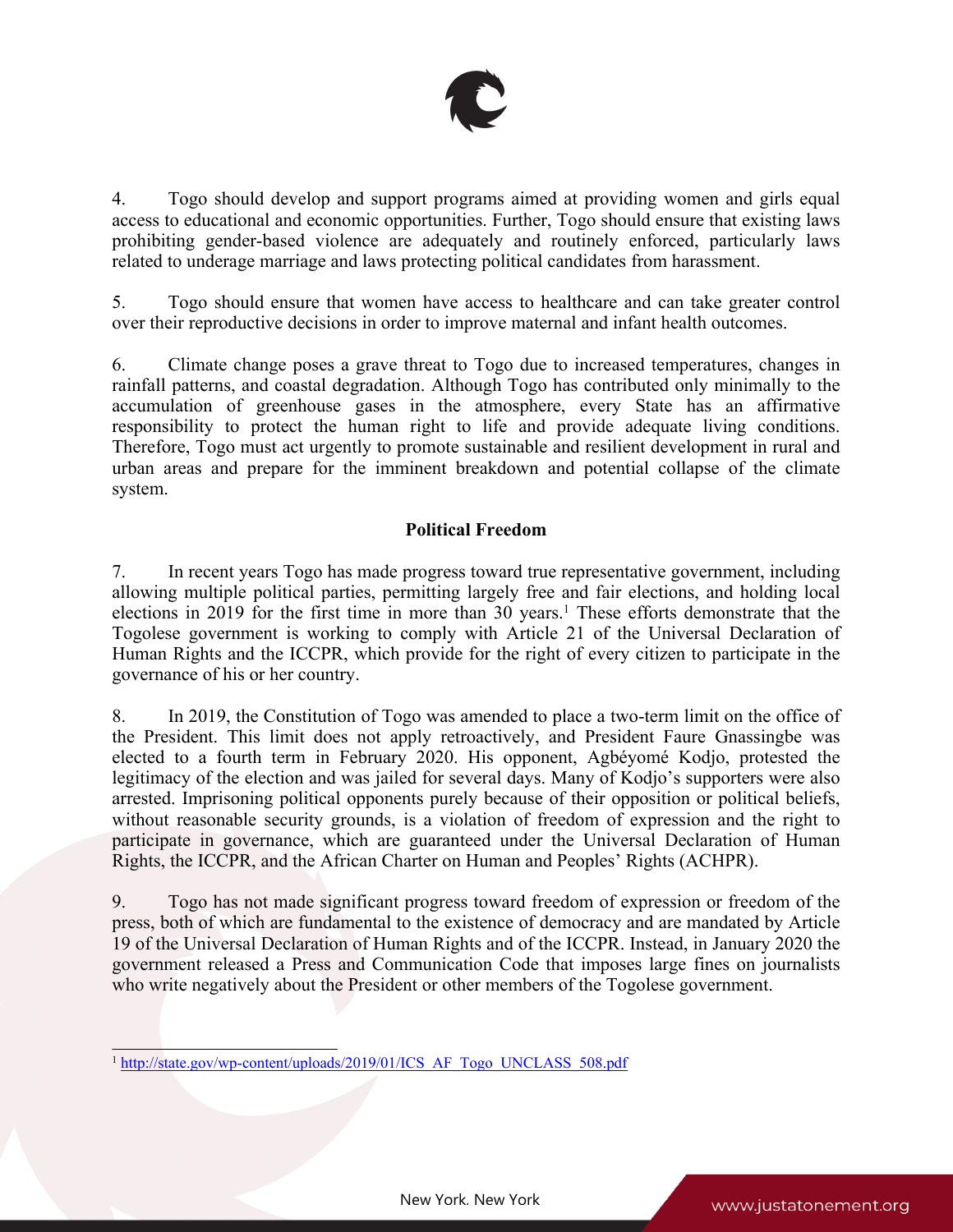

4. Togo should develop and suppor<sup>t</sup> programs aimed at providing women and girls equal access to educational and economic opportunities. Further, Togo should ensure that existing laws prohibiting gender-based violence are adequately and routinely enforced, particularly laws related to underage marriage and laws protecting political candidates from harassment.

5. Togo should ensure that women have access to healthcare and can take greater control over their reproductive decisions in order to improve maternal and infant health outcomes.

6. Climate change poses <sup>a</sup> grave threat to Togo due to increased temperatures, changes in rainfall patterns, and coastal degradation. Although Togo has contributed only minimally to the accumulation of greenhouse gases in the atmosphere, every State has an affirmative responsibility to protect the human right to life and provide adequate living conditions. Therefore, Togo must act urgently to promote sustainable and resilient development in rural and urban areas and prepare for the imminent breakdown and potential collapse of the climate system.

# **Political Freedom**

7. In recent years Togo has made progress toward true representative government, including allowing multiple political parties, permitting largely free and fair elections, and holding local elections in 2019 for the first time in more than 30 years. 1 These efforts demonstrate that the Togolese governmen<sup>t</sup> is working to comply with Article 21 of the Universal Declaration of Human Rights and the ICCPR, which provide for the right of every citizen to participate in the governance of his or her country.

8. In 2019, the Constitution of Togo was amended to place <sup>a</sup> two-term limit on the office of the President. This limit does not apply retroactively, and President Faure Gnassingbe was elected to <sup>a</sup> fourth term in February 2020. His opponent, Agbéyomé Kodjo, protested the legitimacy of the election and was jailed for several days. Many of Kodjo'<sup>s</sup> supporters were also arrested. Imprisoning political opponents purely because of their opposition or political beliefs, without reasonable security grounds, is <sup>a</sup> violation of freedom of expression and the right to participate in governance, which are guaranteed under the Universal Declaration of Human Rights, the ICCPR, and the African Charter on Human and Peoples' Rights (ACHPR).

9. Togo has not made significant progress toward freedom of expression or freedom of the press, both of which are fundamental to the existence of democracy and are mandated by Article 19 of the Universal Declaration of Human Rights and of the ICCPR. Instead, in January 2020 the governmen<sup>t</sup> released <sup>a</sup> Press and Communication Code that imposes large fines on journalists who write negatively about the President or other members of the Togolese government.

<sup>&</sup>lt;sup>1</sup> [http://state.gov/wp-content/uploads/2019/01/ICS\\_AF\\_Togo\\_UNCLASS\\_508.pdf](http://state.gov/wp-content/uploads/2019/01/ICS_AF_Togo_UNCLASS_508.pdf)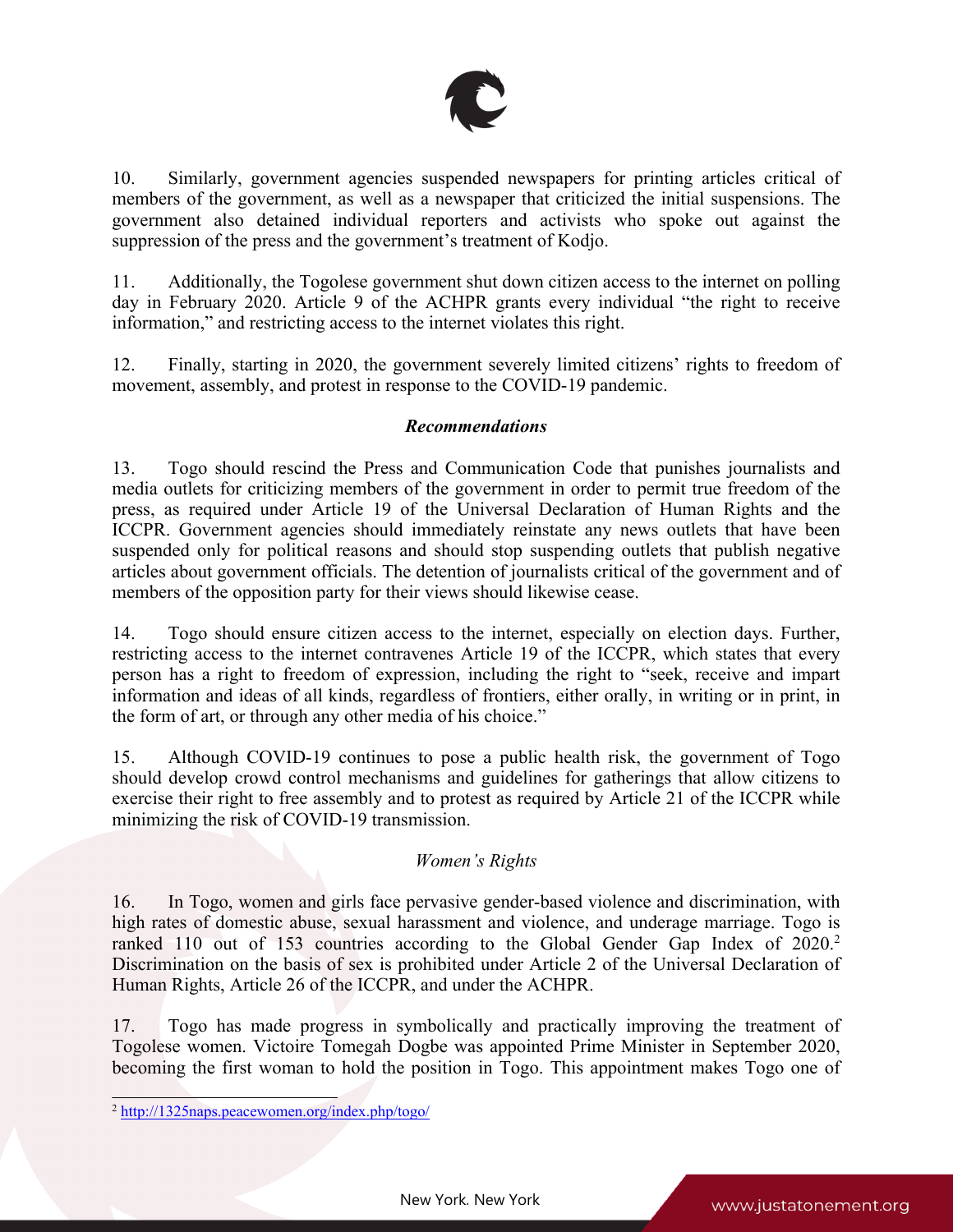

10. Similarly, governmen<sup>t</sup> agencies suspended newspapers for printing articles critical of members of the government, as well as <sup>a</sup> newspaper that criticized the initial suspensions. The governmen<sup>t</sup> also detained individual reporters and activists who spoke out against the suppression of the press and the government'<sup>s</sup> treatment of Kodjo.

11. Additionally, the Togolese governmen<sup>t</sup> shut down citizen access to the internet on polling day in February 2020. Article 9 of the ACHPR grants every individual "the right to receive information," and restricting access to the internet violates this right.

12. Finally, starting in 2020, the governmen<sup>t</sup> severely limited citizens' rights to freedom of movement, assembly, and protest in response to the COVID-19 pandemic.

# *Recommendations*

13. Togo should rescind the Press and Communication Code that punishes journalists and media outlets for criticizing members of the governmen<sup>t</sup> in order to permit true freedom of the press, as required under Article 19 of the Universal Declaration of Human Rights and the ICCPR. Government agencies should immediately reinstate any news outlets that have been suspended only for political reasons and should stop suspending outlets that publish negative articles about governmen<sup>t</sup> officials. The detention of journalists critical of the governmen<sup>t</sup> and of members of the opposition party for their views should likewise cease.

14. Togo should ensure citizen access to the internet, especially on election days. Further, restricting access to the internet contravenes Article 19 of the ICCPR, which states that every person has <sup>a</sup> right to freedom of expression, including the right to "seek, receive and impart information and ideas of all kinds, regardless of frontiers, either orally, in writing or in print, in the form of art, or through any other media of his choice."

15. Although COVID-19 continues to pose <sup>a</sup> public health risk, the governmen<sup>t</sup> of Togo should develop crowd control mechanisms and guidelines for gatherings that allow citizens to exercise their right to free assembly and to protest as required by Article 21 of the ICCPR while minimizing the risk of COVID-19 transmission.

#### *Women'<sup>s</sup> Rights*

16. In Togo, women and girls face pervasive gender-based violence and discrimination, with high rates of domestic abuse, sexual harassment and violence, and underage marriage. Togo is ranked 110 out of 153 countries according to the Global Gender Gap Index of 2020. 2 Discrimination on the basis of sex is prohibited under Article 2 of the Universal Declaration of Human Rights, Article 26 of the ICCPR, and under the ACHPR.

17. Togo has made progress in symbolically and practically improving the treatment of Togolese women. Victoire Tomegah Dogbe was appointed Prime Minister in September 2020, becoming the first woman to hold the position in Togo. This appointment makes Togo one of

<sup>2</sup> <http://1325naps.peacewomen.org/index.php/togo/>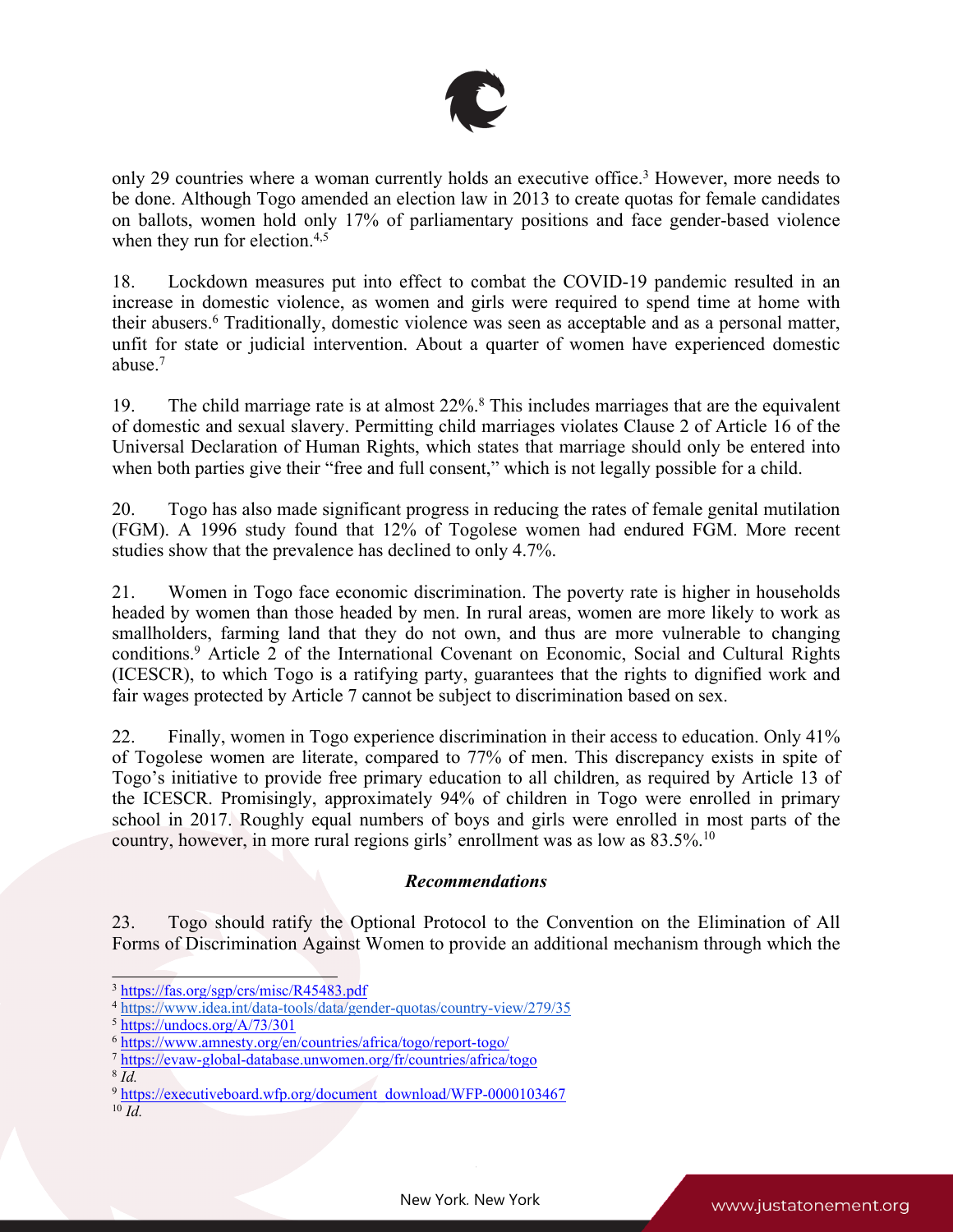

only 29 countries where <sup>a</sup> woman currently holds an executive office. <sup>3</sup> However, more needs to be done. Although Togo amended an election law in 2013 to create quotas for female candidates on ballots, women hold only 17% of parliamentary positions and face gender-based violence when they run for election.<sup>4,5</sup>

18. Lockdown measures pu<sup>t</sup> into effect to combat the COVID-19 pandemic resulted in an increase in domestic violence, as women and girls were required to spend time at home with their abusers. 6 Traditionally, domestic violence was seen as acceptable and as <sup>a</sup> personal matter, unfit for state or judicial intervention. About <sup>a</sup> quarter of women have experienced domestic abuse. 7

19. The child marriage rate is at almost 22%.<sup>8</sup> This includes marriages that are the equivalent of domestic and sexual slavery. Permitting child marriages violates Clause 2 of Article 16 of the Universal Declaration of Human Rights, which states that marriage should only be entered into when both parties give their "free and full consent," which is not legally possible for <sup>a</sup> child.

20. Togo has also made significant progress in reducing the rates of female genital mutilation (FGM). A 1996 study found that 12% of Togolese women had endured FGM. More recent studies show that the prevalence has declined to only 4.7%.

21. Women in Togo face economic discrimination. The poverty rate is higher in households headed by women than those headed by men. In rural areas, women are more likely to work as smallholders, farming land that they do not own, and thus are more vulnerable to changing conditions. <sup>9</sup> Article <sup>2</sup> of the International Covenant on Economic, Social and Cultural Rights (ICESCR), to which Togo is <sup>a</sup> ratifying party, guarantees that the rights to dignified work and fair wages protected by Article 7 cannot be subject to discrimination based on sex.

22. Finally, women in Togo experience discrimination in their access to education. Only 41% of Togolese women are literate, compared to 77% of men. This discrepancy exists in spite of Togo'<sup>s</sup> initiative to provide free primary education to all children, as required by Article 13 of the ICESCR. Promisingly, approximately 94% of children in Togo were enrolled in primary school in 2017. Roughly equal numbers of boys and girls were enrolled in most parts of the country, however, in more rural regions girls' enrollment was as low as 83.5%.<sup>10</sup>

# *Recommendations*

23. Togo should ratify the Optional Protocol to the Convention on the Elimination of All Forms of Discrimination Against Women to provide an additional mechanism through which the

<sup>&</sup>lt;sup>3</sup> <https://fas.org/sgp/crs/misc/R45483.pdf>

<sup>4</sup> <https://www.idea.int/data-tools/data/gender-quotas/country-view/279/35>

<sup>5</sup> <https://undocs.org/A/73/301>

<sup>6</sup> <https://www.amnesty.org/en/countries/africa/togo/report-togo/>

<sup>7</sup> <https://evaw-global-database.unwomen.org/fr/countries/africa/togo>

<sup>8</sup> *Id.*

<sup>&</sup>lt;sup>9</sup> [https://executiveboard.wfp.org/document\\_download/WFP-0000103467](https://executiveboard.wfp.org/document_download/WFP-0000103467)

<sup>10</sup> *Id.*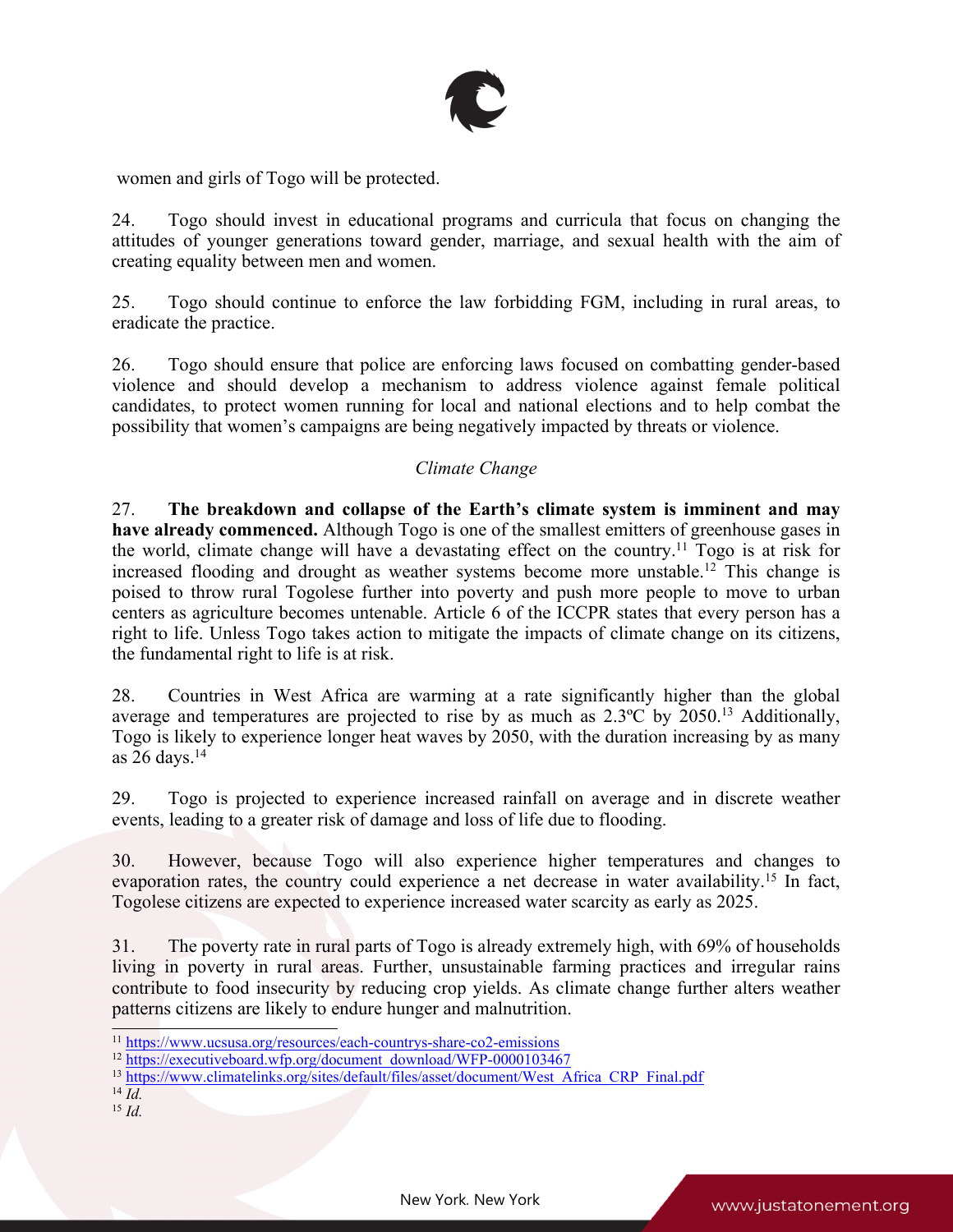

women and girls of Togo will be protected.

24. Togo should invest in educational programs and curricula that focus on changing the attitudes of younger generations toward gender, marriage, and sexual health with the aim of creating equality between men and women.

25. Togo should continue to enforce the law forbidding FGM, including in rural areas, to eradicate the practice.

26. Togo should ensure that police are enforcing laws focused on combatting gender-based violence and should develop <sup>a</sup> mechanism to address violence against female political candidates, to protect women running for local and national elections and to help combat the possibility that women'<sup>s</sup> campaigns are being negatively impacted by threats or violence.

#### *Climate Change*

27. **The breakdown and collapse of the Earth'<sup>s</sup> climate system is imminent and may have already commenced.** Although Togo is one of the smallest emitters of greenhouse gases in the world, climate change will have a devastating effect on the country.<sup>11</sup> Togo is at risk for increased flooding and drought as weather systems become more unstable. 12 This change is poised to throw rural Togolese further into poverty and push more people to move to urban centers as agriculture becomes untenable. Article 6 of the ICCPR states that every person has <sup>a</sup> right to life. Unless Togo takes action to mitigate the impacts of climate change on its citizens, the fundamental right to life is at risk.

28. Countries in West Africa are warming at <sup>a</sup> rate significantly higher than the global average and temperatures are projected to rise by as much as 2.3°C by 2050.<sup>13</sup> Additionally, Togo is likely to experience longer heat waves by 2050, with the duration increasing by as many as 26 days. 14

29. Togo is projected to experience increased rainfall on average and in discrete weather events, leading to <sup>a</sup> greater risk of damage and loss of life due to flooding.

30. However, because Togo will also experience higher temperatures and changes to evaporation rates, the country could experience a net decrease in water availability.<sup>15</sup> In fact, Togolese citizens are expected to experience increased water scarcity as early as 2025.

31. The poverty rate in rural parts of Togo is already extremely high, with 69% of households living in poverty in rural areas. Further, unsustainable farming practices and irregular rains contribute to food insecurity by reducing crop yields. As climate change further alters weather patterns citizens are likely to endure hunger and malnutrition.

- 14 *Id.*
- 15 *Id.*

<sup>&</sup>lt;sup>11</sup> <https://www.ucsusa.org/resources/each-countrys-share-co2-emissions>

<sup>&</sup>lt;sup>12</sup> [https://executiveboard.wfp.org/document\\_download/WFP-0000103467](https://executiveboard.wfp.org/document_download/WFP-0000103467)

<sup>&</sup>lt;sup>13</sup> [https://www.climatelinks.org/sites/default/files/asset/document/West\\_Africa\\_CRP\\_Final.pdf](https://www.climatelinks.org/sites/default/files/asset/document/West_Africa_CRP_Final.pdf)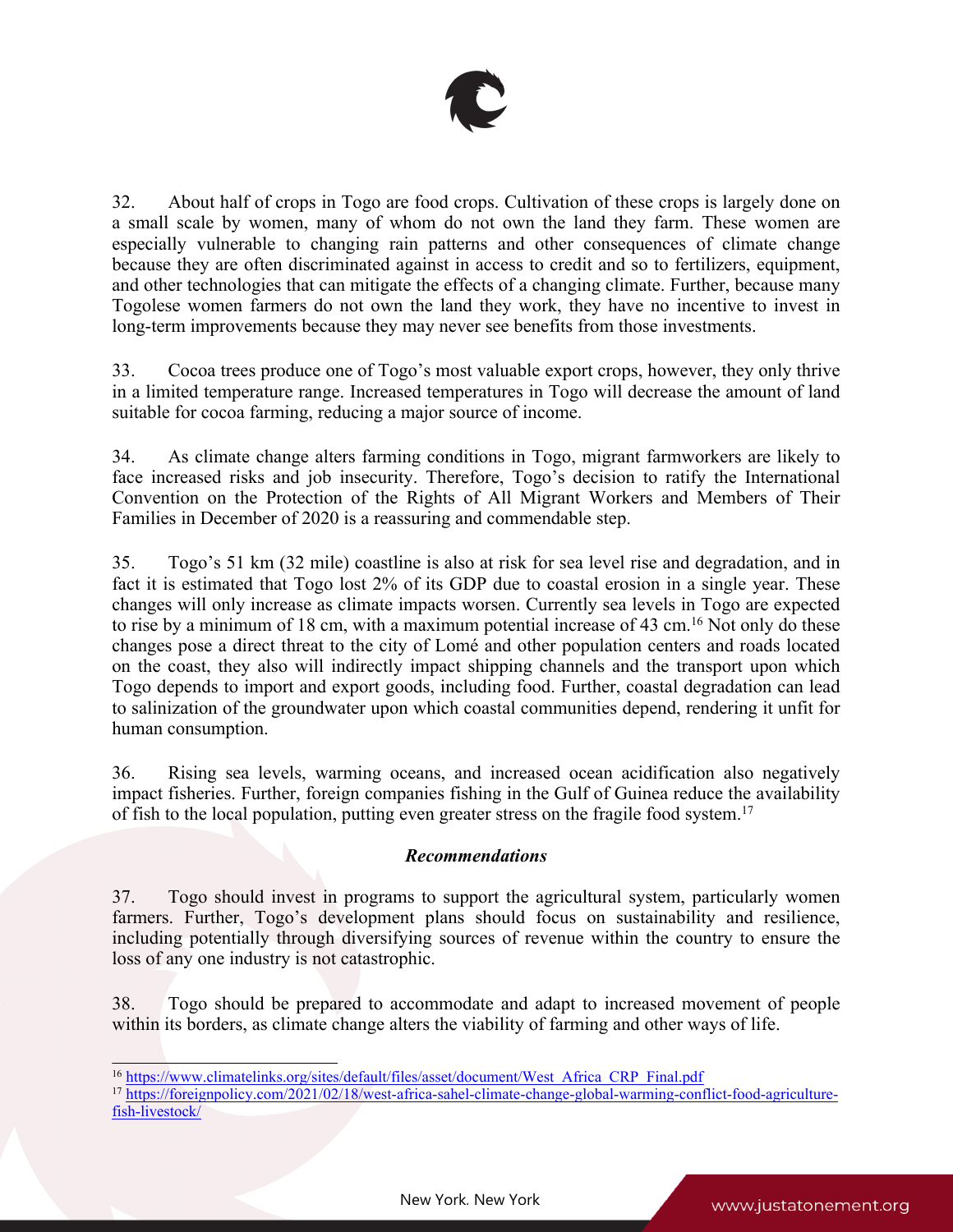

32. About half of crops in Togo are food crops. Cultivation of these crops is largely done on <sup>a</sup> small scale by women, many of whom do not own the land they farm. These women are especially vulnerable to changing rain patterns and other consequences of climate change because they are often discriminated against in access to credit and so to fertilizers, equipment, and other technologies that can mitigate the effects of <sup>a</sup> changing climate. Further, because many Togolese women farmers do not own the land they work, they have no incentive to invest in long-term improvements because they may never see benefits from those investments.

33. Cocoa trees produce one of Togo'<sup>s</sup> most valuable expor<sup>t</sup> crops, however, they only thrive in <sup>a</sup> limited temperature range. Increased temperatures in Togo will decrease the amount of land suitable for cocoa farming, reducing <sup>a</sup> major source of income.

34. As climate change alters farming conditions in Togo, migrant farmworkers are likely to face increased risks and job insecurity. Therefore, Togo'<sup>s</sup> decision to ratify the International Convention on the Protection of the Rights of All Migrant Workers and Members of Their Families in December of 2020 is <sup>a</sup> reassuring and commendable step.

35. Togo'<sup>s</sup> 51 km (32 mile) coastline is also at risk for sea level rise and degradation, and in fact it is estimated that Togo lost 2% of its GDP due to coastal erosion in <sup>a</sup> single year. These changes will only increase as climate impacts worsen. Currently sea levels in Togo are expected to rise by <sup>a</sup> minimum of 18 cm, with <sup>a</sup> maximum potential increase of 43 cm. <sup>16</sup> Not only do these changes pose <sup>a</sup> direct threat to the city of Lomé and other population centers and roads located on the coast, they also will indirectly impact shipping channels and the transport upon which Togo depends to import and expor<sup>t</sup> goods, including food. Further, coastal degradation can lead to salinization of the groundwater upon which coastal communities depend, rendering it unfit for human consumption.

36. Rising sea levels, warming oceans, and increased ocean acidification also negatively impact fisheries. Further, foreign companies fishing in the Gulf of Guinea reduce the availability of fish to the local population, putting even greater stress on the fragile food system. 17

# *Recommendations*

37. Togo should invest in programs to suppor<sup>t</sup> the agricultural system, particularly women farmers. Further, Togo'<sup>s</sup> development plans should focus on sustainability and resilience, including potentially through diversifying sources of revenue within the country to ensure the loss of any one industry is not catastrophic.

38. Togo should be prepared to accommodate and adapt to increased movement of people within its borders, as climate change alters the viability of farming and other ways of life.

<sup>&</sup>lt;sup>16</sup> [https://www.climatelinks.org/sites/default/files/asset/document/West\\_Africa\\_CRP\\_Final.pdf](https://www.climatelinks.org/sites/default/files/asset/document/West_Africa_CRP_Final.pdf)<br><sup>17</sup> [https://foreignpolicy.com/2021/02/18/west-africa-sahel-climate-change-global-warming-conflict-food-agriculture](https://foreignpolicy.com/2021/02/18/west-africa-sahel-climate-change-global-warming-conflict-food-agriculture-fish-livestock/)[fish-livestock/](https://foreignpolicy.com/2021/02/18/west-africa-sahel-climate-change-global-warming-conflict-food-agriculture-fish-livestock/)